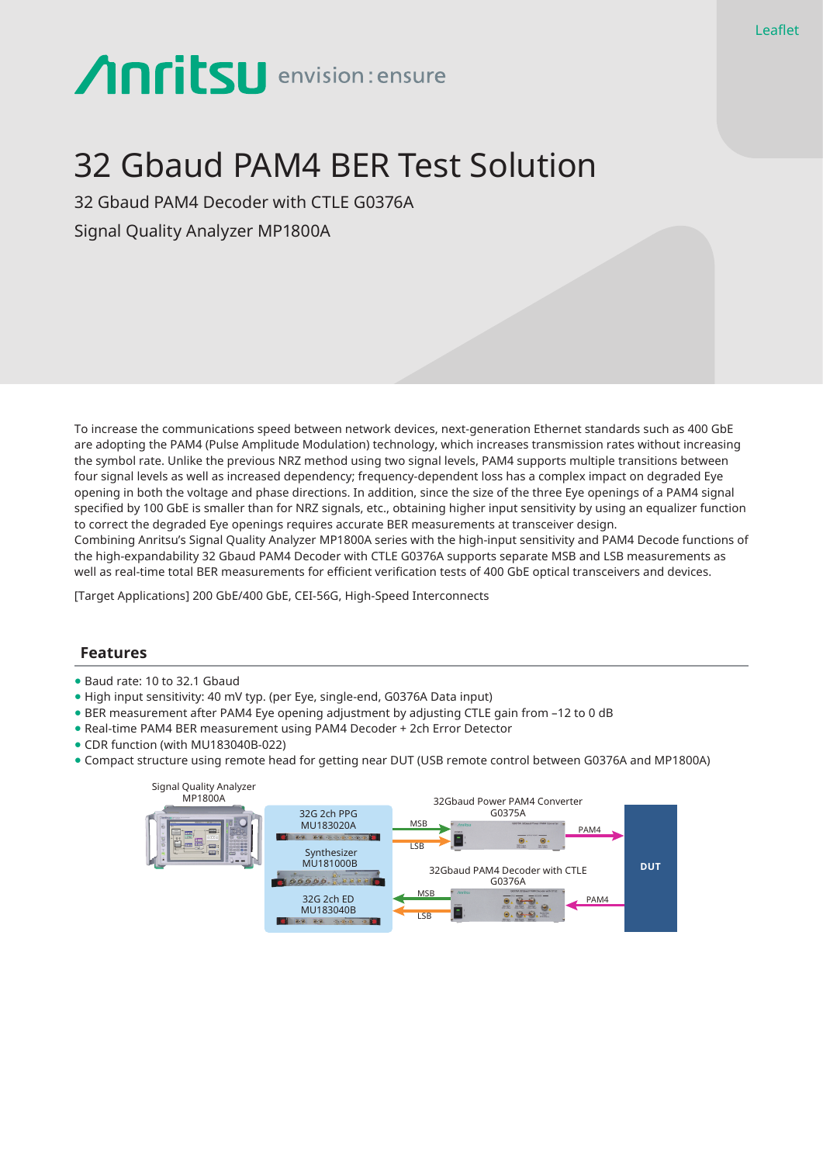# **Anritsu** envision: ensure

# 32 Gbaud PAM4 BER Test Solution

32 Gbaud PAM4 Decoder with CTLE G0376A Signal Quality Analyzer MP1800A

To increase the communications speed between network devices, next-generation Ethernet standards such as 400 GbE are adopting the PAM4 (Pulse Amplitude Modulation) technology, which increases transmission rates without increasing the symbol rate. Unlike the previous NRZ method using two signal levels, PAM4 supports multiple transitions between four signal levels as well as increased dependency; frequency-dependent loss has a complex impact on degraded Eye opening in both the voltage and phase directions. In addition, since the size of the three Eye openings of a PAM4 signal specified by 100 GbE is smaller than for NRZ signals, etc., obtaining higher input sensitivity by using an equalizer function to correct the degraded Eye openings requires accurate BER measurements at transceiver design. Combining Anritsu's Signal Quality Analyzer MP1800A series with the high-input sensitivity and PAM4 Decode functions of the high-expandability 32 Gbaud PAM4 Decoder with CTLE G0376A supports separate MSB and LSB measurements as well as real-time total BER measurements for efficient verification tests of 400 GbE optical transceivers and devices.

[Target Applications] 200 GbE/400 GbE, CEI-56G, High-Speed Interconnects

#### **Features**

- Baud rate: 10 to 32.1 Gbaud
- High input sensitivity: 40 mV typ. (per Eye, single-end, G0376A Data input)
- BER measurement after PAM4 Eye opening adjustment by adjusting CTLE gain from –12 to 0 dB
- Real-time PAM4 BER measurement using PAM4 Decoder + 2ch Error Detector
- CDR function (with MU183040B-022)
- Compact structure using remote head for getting near DUT (USB remote control between G0376A and MP1800A)